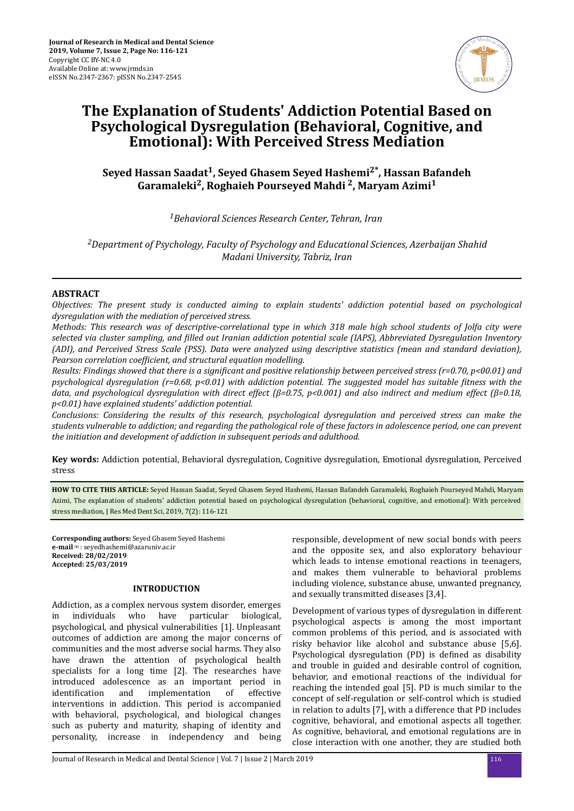

# **The Explanation of Students' Addiction Potential Based on Psychological Dysregulation (Behavioral, Cognitive, and Emotional): With Perceived Stress Mediation**

## **Seyed Hassan Saadat<sup>1</sup> , Seyed Ghasem Seyed Hashemi2\*, Hassan Bafandeh Garamaleki<sup>2</sup> , Roghaieh Pourseyed Mahdi <sup>2</sup> , Maryam Azimi<sup>1</sup>**

*<sup>1</sup>Behavioral Sciences Research Center, Tehran, Iran*

*<sup>2</sup>Department of Psychology, Faculty of Psychology and Educational Sciences, Azerbaijan Shahid Madani University, Tabriz, Iran*

## **ABSTRACT**

*Objectives: The present study is conducted aiming to explain students' addiction potential based on psychological dysregulation with the mediation of perceived stress.*

*Methods: This research was of descriptive-correlational type in which 318 male high school students of Jolfa city were selected via cluster sampling, and ϔed out Iranian addiction potential scale (IAPS), Abbreviated Dysregulation Inventory (ADI), and Perceived Stress Scale (PSS). Data were analyzed using descriptive statistics (mean and standard deviation), Pearson correlation coefficient, and structural equation modelling.* 

*Results: Findings showed that there is a significant and positive relationship between perceived stress (r=0.70, p<00.01) and psychological dysregulation (r=0.68, p<0.01) with addiction potential. The suggested model has suitable ϔtness with the data, and psychological dysregulation with direct effect (β=0.75, p<0.001) and also indirect and medium effect (β=0.18, p<0.01) have explained students' addiction potential.*

*Conclusions: Considering the results of this research, psychological dysregulation and perceived stress can make the students vulnerable to addiction; and regarding the pathological role of these factors in adolescence period, one can prevent the initiation and development of addiction in subsequent periods and adulthood.*

**Key words:** Addiction potential, Behavioral dysregulation, Cognitive dysregulation, Emotional dysregulation, Perceived stress

**HOW TO CITE THIS ARTICLE:** Seyed Hassan Saadat, Seyed Ghasem Seyed Hashemi, Hassan Bafandeh Garamaleki, Roghaieh Pourseyed Mahdi, Maryam Azimi, The explanation of students' addiction potential based on psychological dysregulation (behavioral, cognitive, and emotional): With perceived stress mediation, J Res Med Dent Sci, 2019, 7(2): 116-121

**Corresponding authors:** Seyed Ghasem Seyed Hashemi **e-mail**✉: seyedhashemi@azaruniv.ac.ir **Received: 28/02/2019 Accepted: 25/03/2019**

#### **INTRODUCTION**

Addiction, as a complex nervous system disorder, emerges in individuals who have particular biological, psychological, and physical vulnerabilities [1]. Unpleasant outcomes of addiction are among the major concerns of communities and the most adverse social harms. They also have drawn the attention of psychological health specialists for a long time [2]. The researches have introduced adolescence as an important period in identification and implementation of effective interventions in addiction. This period is accompanied with behavioral, psychological, and biological changes such as puberty and maturity, shaping of identity and personality, increase in independency and being

responsible, development of new social bonds with peers and the opposite sex, and also exploratory behaviour which leads to intense emotional reactions in teenagers, and makes them vulnerable to behavioral problems including violence, substance abuse, unwanted pregnancy, and sexually transmitted diseases [3,4].

Development of various types of dysregulation in different psychological aspects is among the most important common problems of this period, and is associated with risky behavior like alcohol and substance abuse [5,6]. Psychological dysregulation (PD) is defined as disability and trouble in guided and desirable control of cognition, behavior, and emotional reactions of the individual for reaching the intended goal [5]. PD is much similar to the concept of self-regulation or self-control which is studied in relation to adults [7], with a difference that PD includes cognitive, behavioral, and emotional aspects all together. As cognitive, behavioral, and emotional regulations are in close interaction with one another, they are studied both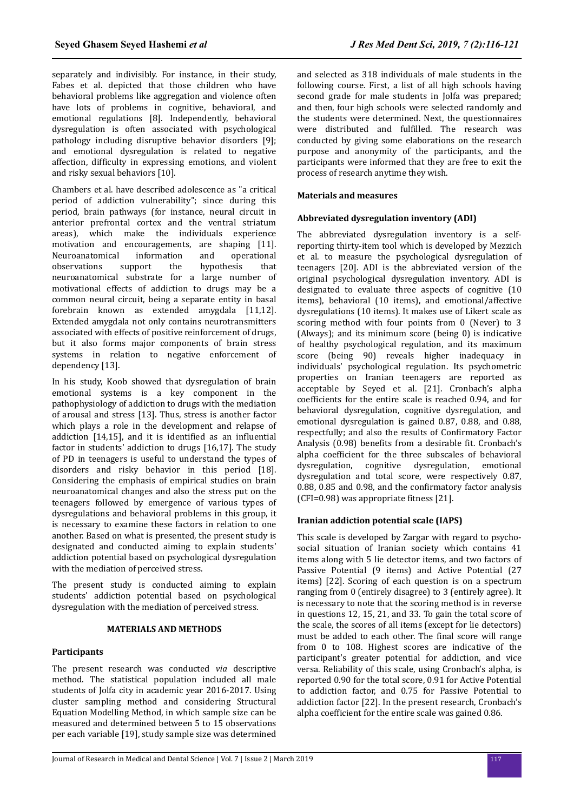separately and indivisibly. For instance, in their study, Fabes et al. depicted that those children who have behavioral problems like aggregation and violence often have lots of problems in cognitive, behavioral, and emotional regulations [8]. Independently, behavioral dysregulation is often associated with psychological pathology including disruptive behavior disorders [9]; and emotional dysregulation is related to negative affection, difficulty in expressing emotions, and violent and risky sexual behaviors [10].

Chambers et al. have described adolescence as "a critical period of addiction vulnerability"; since during this period, brain pathways (for instance, neural circuit in anterior prefrontal cortex and the ventral striatum areas), which make the individuals experience motivation and encouragements, are shaping [11]. Neuroanatomical information and operational observations support the hypothesis that neuroanatomical substrate for a large number of motivational effects of addiction to drugs may be a common neural circuit, being a separate entity in basal forebrain known as extended amygdala [11,12]. Extended amygdala not only contains neurotransmitters associated with effects of positive reinforcement of drugs, but it also forms major components of brain stress systems in relation to negative enforcement of dependency [13].

In his study, Koob showed that dysregulation of brain emotional systems is a key component in the pathophysiology of addiction to drugs with the mediation of arousal and stress [13]. Thus, stress is another factor which plays a role in the development and relapse of addiction  $[14,15]$ , and it is identified as an influential factor in students' addiction to drugs [16,17]. The study of PD in teenagers is useful to understand the types of disorders and risky behavior in this period [18]. Considering the emphasis of empirical studies on brain neuroanatomical changes and also the stress put on the teenagers followed by emergence of various types of dysregulations and behavioral problems in this group, it is necessary to examine these factors in relation to one another. Based on what is presented, the present study is designated and conducted aiming to explain students' addiction potential based on psychological dysregulation with the mediation of perceived stress.

The present study is conducted aiming to explain students' addiction potential based on psychological dysregulation with the mediation of perceived stress.

## **MATERIALS AND METHODS**

## **Participants**

The present research was conducted *via* descriptive method. The statistical population included all male students of Jolfa city in academic year 2016-2017. Using cluster sampling method and considering Structural Equation Modelling Method, in which sample size can be measured and determined between 5 to 15 observations per each variable [19], study sample size was determined

and selected as 318 individuals of male students in the following course. First, a list of all high schools having second grade for male students in Jolfa was prepared; and then, four high schools were selected randomly and the students were determined. Next, the questionnaires were distributed and fulfilled. The research was conducted by giving some elaborations on the research purpose and anonymity of the participants, and the participants were informed that they are free to exit the process of research anytime they wish.

### **Materials and measures**

## **Abbreviated dysregulation inventory (ADI)**

The abbreviated dysregulation inventory is a selfreporting thirty-item tool which is developed by Mezzich et al. to measure the psychological dysregulation of teenagers [20]. ADI is the abbreviated version of the original psychological dysregulation inventory. ADI is designated to evaluate three aspects of cognitive (10 items), behavioral (10 items), and emotional/affective dysregulations (10 items). It makes use of Likert scale as scoring method with four points from 0 (Never) to 3 (Always); and its minimum score (being 0) is indicative of healthy psychological regulation, and its maximum score (being 90) reveals higher inadequacy in individuals' psychological regulation. Its psychometric properties on Iranian teenagers are reported as acceptable by Seyed et al. [21]. Cronbach's alpha coefficients for the entire scale is reached 0.94, and for behavioral dysregulation, cognitive dysregulation, and emotional dysregulation is gained 0.87, 0.88, and 0.88, respectfully; and also the results of Confirmatory Factor Analysis (0.98) benefits from a desirable fit. Cronbach's alpha coefficient for the three subscales of behavioral dysregulation, cognitive dysregulation, emotional dysregulation and total score, were respectively 0.87,  $0.88$ ,  $0.85$  and  $0.98$ , and the confirmatory factor analysis  $[CFI=0.98]$  was appropriate fitness  $[21]$ .

## **Iranian addiction potential scale (IAPS)**

This scale is developed by Zargar with regard to psychosocial situation of Iranian society which contains 41 items along with 5 lie detector items, and two factors of Passive Potential (9 items) and Active Potential (27 items) [22]. Scoring of each question is on a spectrum ranging from 0 (entirely disagree) to 3 (entirely agree). It is necessary to note that the scoring method is in reverse in questions 12, 15, 21, and 33. To gain the total score of the scale, the scores of all items (except for lie detectors) must be added to each other. The final score will range from 0 to 108. Highest scores are indicative of the participant's greater potential for addiction, and vice versa. Reliability of this scale, using Cronbach's alpha, is reported 0.90 for the total score, 0.91 for Active Potential to addiction factor, and 0.75 for Passive Potential to addiction factor [22]. In the present research, Cronbach's alpha coefficient for the entire scale was gained 0.86.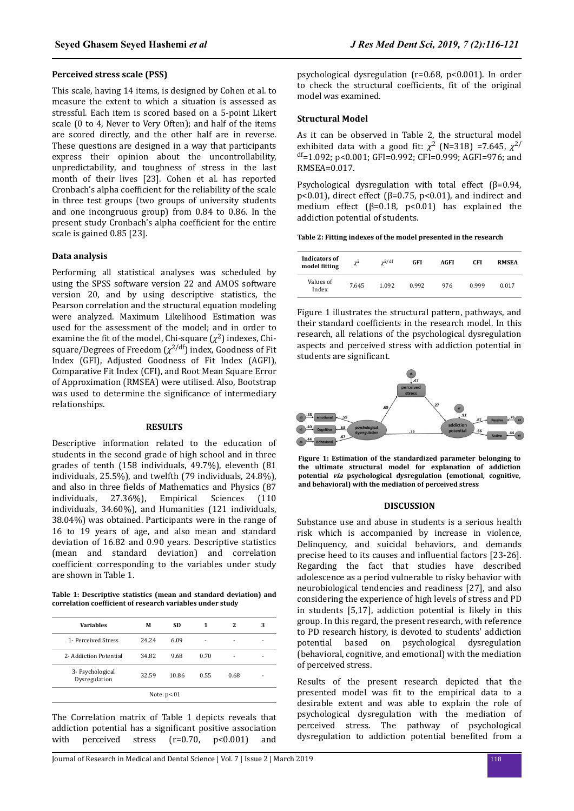## **Perceived stress scale (PSS)**

This scale, having 14 items, is designed by Cohen et al. to measure the extent to which a situation is assessed as stressful. Each item is scored based on a 5-point Likert scale (0 to 4, Never to Very Often); and half of the items are scored directly, and the other half are in reverse. These questions are designed in a way that participants express their opinion about the uncontrollability, unpredictability, and toughness of stress in the last month of their lives [23]. Cohen et al. has reported Cronbach's alpha coefficient for the reliability of the scale in three test groups (two groups of university students and one incongruous group) from 0.84 to 0.86. In the present study Cronbach's alpha coefficient for the entire scale is gained 0.85 [23].

#### **Data analysis**

Performing all statistical analyses was scheduled by using the SPSS software version 22 and AMOS software version 20, and by using descriptive statistics, the Pearson correlation and the structural equation modeling were analyzed. Maximum Likelihood Estimation was used for the assessment of the model; and in order to examine the fit of the model, Chi-square  $(\chi^2)$  indexes, Chisquare/Degrees of Freedom (*χ* 2/df) index, Goodness of Fit Index (GFI), Adjusted Goodness of Fit Index (AGFI), Comparative Fit Index (CFI), and Root Mean Square Error of Approximation (RMSEA) were utilised. Also, Bootstrap was used to determine the significance of intermediary relationships.

#### **RESULTS**

Descriptive information related to the education of students in the second grade of high school and in three grades of tenth (158 individuals, 49.7%), eleventh (81 individuals, 25.5%), and twelfth (79 individuals, 24.8%), and also in three fields of Mathematics and Physics (87 individuals, 27.36%), Empirical Sciences (110 individuals, 34.60%), and Humanities (121 individuals, 38.04%) was obtained. Participants were in the range of 16 to 19 years of age, and also mean and standard deviation of 16.82 and 0.90 years. Descriptive statistics (mean and standard deviation) and correlation coefficient corresponding to the variables under study are shown in Table 1.

**Table 1: Descriptive statistics (mean and standard deviation) and correlation oefϐen of research variables under study**

| <b>Variables</b>                  | М     | SD.   | 1    | 2    | 3 |
|-----------------------------------|-------|-------|------|------|---|
| 1- Perceived Stress               | 24.24 | 6.09  |      |      |   |
| 2- Addiction Potential            | 34.82 | 9.68  | 0.70 |      |   |
| 3- Psychological<br>Dysregulation | 32.59 | 10.86 | 0.55 | 0.68 |   |

The Correlation matrix of Table 1 depicts reveals that addiction potential has a significant positive association with perceived stress (r=0.70, p<0.001) and

psychological dysregulation (r=0.68, p<0.001). In order to check the structural coefficients, fit of the original model was examined.

#### **Structural Model**

As it can be observed in Table 2, the structural model exhibited data with a good fit:  $\chi^2$  (N=318) =7.645,  $\chi^{2/2}$  $<sup>df</sup>=1.092$ ; p<0.001; GFI=0.992; CFI=0.999; AGFI=976; and</sup> RMSEA=0.017.

Psychological dysregulation with total effect (β=0.94, p<0.01), direct effect ( $β=0.75$ , p<0.01), and indirect and medium effect  $(\beta=0.18, p<0.01)$  has explained the addiction potential of students.

**Table 2: Fitting indexes of the model presented in the research**

| Indicators of<br>model fitting | $\chi^2$ | $\chi^2/df$ | GFI   | AGFI | CFI   | <b>RMSEA</b> |
|--------------------------------|----------|-------------|-------|------|-------|--------------|
| Values of<br>Index             | 7.645    | 1.092       | 0.992 | 976  | 0.999 | 0.017        |

Figure 1 illustrates the structural pattern, pathways, and their standard coefficients in the research model. In this research, all relations of the psychological dysregulation aspects and perceived stress with addiction potential in students are significant.



**Figure 1: Estimation of the standardized parameter belonging to the ultimate structural model for explanation of addiction potential via psychological dysregulation (emotional, cognitive, and behavioral) with the mediation of perceived stress**

#### **DISCUSSION**

Substance use and abuse in students is a serious health risk which is accompanied by increase in violence, Delinquency, and suicidal behaviors, and demands precise heed to its causes and influential factors [23-26]. Regarding the fact that studies have described adolescence as a period vulnerable to risky behavior with neurobiological tendencies and readiness [27], and also considering the experience of high levels of stress and PD in students [5,17], addiction potential is likely in this group. In this regard, the present research, with reference to PD research history, is devoted to students' addiction potential based on psychological dysregulation (behavioral, cognitive, and emotional) with the mediation of perceived stress.

Results of the present research depicted that the presented model was fit to the empirical data to a desirable extent and was able to explain the role of psychological dysregulation with the mediation of perceived stress. The pathway of psychological dysregulation to addiction potential benefited from a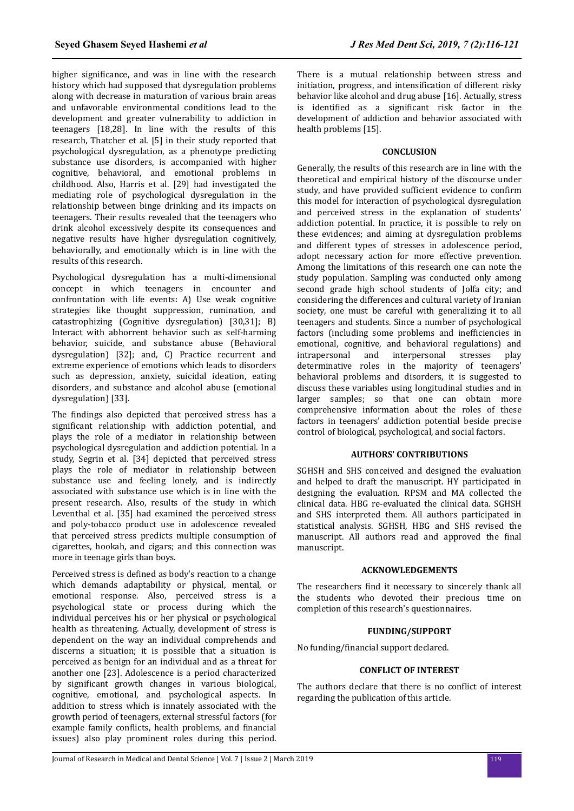higher significance, and was in line with the research history which had supposed that dysregulation problems along with decrease in maturation of various brain areas and unfavorable environmental conditions lead to the development and greater vulnerability to addiction in teenagers [18,28]. In line with the results of this research, Thatcher et al. [5] in their study reported that psychological dysregulation, as a phenotype predicting substance use disorders, is accompanied with higher cognitive, behavioral, and emotional problems in childhood. Also, Harris et al. [29] had investigated the mediating role of psychological dysregulation in the relationship between binge drinking and its impacts on teenagers. Their results revealed that the teenagers who drink alcohol excessively despite its consequences and negative results have higher dysregulation cognitively, behaviorally, and emotionally which is in line with the results of this research.

Psychological dysregulation has a multi-dimensional concept in which teenagers in encounter and confrontation with life events: A) Use weak cognitive strategies like thought suppression, rumination, and catastrophizing (Cognitive dysregulation) [30,31]; B) Interact with abhorrent behavior such as self-harming behavior, suicide, and substance abuse (Behavioral dysregulation) [32]; and, C) Practice recurrent and extreme experience of emotions which leads to disorders such as depression, anxiety, suicidal ideation, eating disorders, and substance and alcohol abuse (emotional dysregulation) [33].

The findings also depicted that perceived stress has a significant relationship with addiction potential, and plays the role of a mediator in relationship between psychological dysregulation and addiction potential. In a study, Segrin et al. [34] depicted that perceived stress plays the role of mediator in relationship between substance use and feeling lonely, and is indirectly associated with substance use which is in line with the present research. Also, results of the study in which Leventhal et al. [35] had examined the perceived stress and poly-tobacco product use in adolescence revealed that perceived stress predicts multiple consumption of cigarettes, hookah, and cigars; and this connection was more in teenage girls than boys.

Perceived stress is defined as body's reaction to a change which demands adaptability or physical, mental, or emotional response. Also, perceived stress is a psychological state or process during which the individual perceives his or her physical or psychological health as threatening. Actually, development of stress is dependent on the way an individual comprehends and discerns a situation; it is possible that a situation is perceived as benign for an individual and as a threat for another one [23]. Adolescence is a period characterized by significant growth changes in various biological, cognitive, emotional, and psychological aspects. In addition to stress which is innately associated with the growth period of teenagers, external stressful factors (for example family conflicts, health problems, and financial issues) also play prominent roles during this period.

There is a mutual relationship between stress and initiation, progress, and intensification of different risky behavior like alcohol and drug abuse [16]. Actually, stress is identified as a significant risk factor in the development of addiction and behavior associated with health problems [15].

## **CONCLUSION**

Generally, the results of this research are in line with the theoretical and empirical history of the discourse under study, and have provided sufficient evidence to confirm this model for interaction of psychological dysregulation and perceived stress in the explanation of students' addiction potential. In practice, it is possible to rely on these evidences; and aiming at dysregulation problems and different types of stresses in adolescence period, adopt necessary action for more effective prevention. Among the limitations of this research one can note the study population. Sampling was conducted only among second grade high school students of Jolfa city; and considering the differences and cultural variety of Iranian society, one must be careful with generalizing it to all teenagers and students. Since a number of psychological factors (including some problems and inefficiencies in emotional, cognitive, and behavioral regulations) and intrapersonal and interpersonal stresses play determinative roles in the majority of teenagers' behavioral problems and disorders, it is suggested to discuss these variables using longitudinal studies and in larger samples; so that one can obtain more comprehensive information about the roles of these factors in teenagers' addiction potential beside precise control of biological, psychological, and social factors.

## **AUTHORS' CONTRIBUTIONS**

SGHSH and SHS conceived and designed the evaluation and helped to draft the manuscript. HY participated in designing the evaluation. RPSM and MA collected the clinical data. HBG re-evaluated the clinical data. SGHSH and SHS interpreted them. All authors participated in statistical analysis. SGHSH, HBG and SHS revised the manuscript. All authors read and approved the final manuscript.

## **ACKNOWLEDGEMENTS**

The researchers find it necessary to sincerely thank all the students who devoted their precious time on completion of this research's questionnaires.

## **FUNDING/SUPPORT**

No funding/financial support declared.

## **CONFLICT OF INTEREST**

The authors declare that there is no conflict of interest regarding the publication of this article.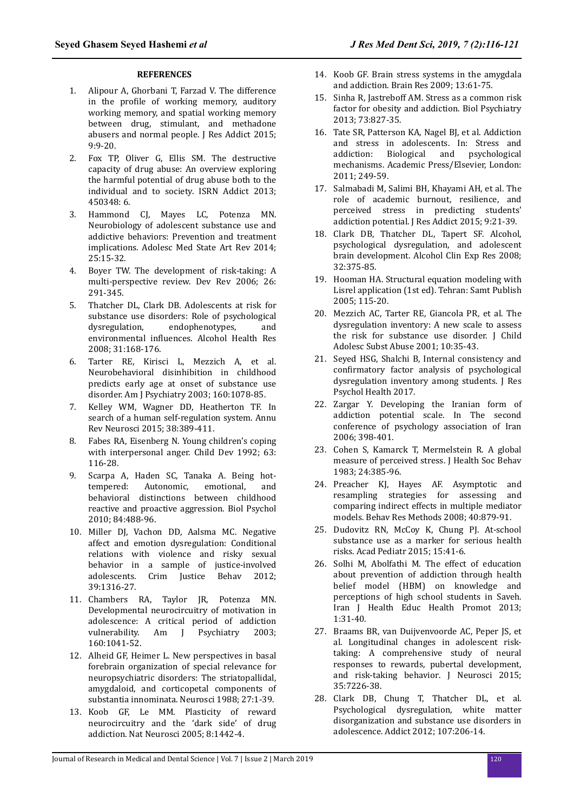#### **REFERENCES**

- 1. Alipour A, Ghorbani T, Farzad V. The difference in the profile of working memory, auditory working memory, and spatial working memory between drug, stimulant, and methadone abusers and normal people. J Res Addict 2015; 9:9-20.
- 2. Fox TP, Oliver G, Ellis SM. The destructive capacity of drug abuse: An overview exploring the harmful potential of drug abuse both to the individual and to society. ISRN Addict 2013; 450348: 6.
- 3. Hammond CJ, Mayes LC, Potenza MN. Neurobiology of adolescent substance use and addictive behaviors: Prevention and treatment implications. Adolesc Med State Art Rev 2014; 25:15-32.
- 4. Boyer TW. The development of risk-taking: A multi-perspective review. Dev Rev 2006; 26: 291-345.
- 5. Thatcher DL, Clark DB. Adolescents at risk for substance use disorders: Role of psychological dysregulation, endophenotypes, and environmental influences. Alcohol Health Res 2008; 31:168-176.
- 6. Tarter RE, Kirisci L, Mezzich A, et al. Neurobehavioral disinhibition in childhood predicts early age at onset of substance use disorder. Am J Psychiatry 2003; 160:1078-85.
- 7. Kelley WM, Wagner DD, Heatherton TF. In search of a human self-regulation system. Annu Rev Neurosci 2015; 38:389-411.
- 8. Fabes RA, Eisenberg N. Young children's coping with interpersonal anger. Child Dev 1992; 63: 116-28.
- 9. Scarpa A, Haden SC, Tanaka A. Being hottempered: Autonomic, emotional, and behavioral distinctions between childhood reactive and proactive aggression. Biol Psychol 2010; 84:488-96.
- 10. Miller DJ, Vachon DD, Aalsma MC. Negative affect and emotion dysregulation: Conditional relations with violence and risky sexual behavior in a sample of justice-involved adolescents. Crim Justice Behav 2012; 39:1316-27.
- 11. Chambers RA, Taylor JR, Potenza MN. Developmental neurocircuitry of motivation in adolescence: A critical period of addiction vulnerability. Am J Psychiatry 2003; 160:1041-52.
- 12. Alheid GF, Heimer L. New perspectives in basal forebrain organization of special relevance for neuropsychiatric disorders: The striatopallidal, amygdaloid, and corticopetal components of substantia innominata. Neurosci 1988; 27:1-39.
- 13. Koob GF, Le MM. Plasticity of reward neurocircuitry and the 'dark side' of drug addiction. Nat Neurosci 2005; 8:1442-4.
- 14. Koob GF. Brain stress systems in the amygdala and addiction. Brain Res 2009; 13:61-75.
- 15. Sinha R, Jastreboff AM. Stress as a common risk factor for obesity and addiction. Biol Psychiatry 2013; 73:827-35.
- 16. Tate SR, Patterson KA, Nagel BJ, et al. Addiction and stress in adolescents. In: Stress and addiction: Biological and psychological mechanisms. Academic Press/Elsevier, London: 2011; 249-59.
- 17. Salmabadi M, Salimi BH, Khayami AH, et al. The role of academic burnout, resilience, and perceived stress in predicting students' addiction potential. J Res Addict 2015; 9:21-39.
- 18. Clark DB, Thatcher DL, Tapert SF. Alcohol, psychological dysregulation, and adolescent brain development. Alcohol Clin Exp Res 2008; 32:375-85.
- 19. Hooman HA. Structural equation modeling with Lisrel application (1st ed). Tehran: Samt Publish 2005; 115-20.
- 20. Mezzich AC, Tarter RE, Giancola PR, et al. The dysregulation inventory: A new scale to assess the risk for substance use disorder. J Child Adolesc Subst Abuse 2001; 10:35-43.
- 21. Seyed HSG, Shalchi B, Internal consistency and confirmatory factor analysis of psychological dysregulation inventory among students. J Res Psychol Health 2017.
- 22. Zargar Y. Developing the Iranian form of addiction potential scale. In The second conference of psychology association of Iran 2006; 398-401.
- 23. Cohen S, Kamarck T, Mermelstein R. A global measure of perceived stress. J Health Soc Behav 1983; 24:385-96.
- 24. Preacher KJ, Hayes AF. Asymptotic and resampling strategies for assessing and comparing indirect effects in multiple mediator models. Behav Res Methods 2008; 40:879-91.
- 25. Dudovitz RN, McCoy K, Chung PJ. At-school substance use as a marker for serious health risks. Acad Pediatr 2015; 15:41-6.
- 26. Solhi M, Abolfathi M. The effect of education about prevention of addiction through health belief model (HBM) on knowledge and perceptions of high school students in Saveh. Iran J Health Educ Health Promot 2013; 1:31-40.
- 27. Braams BR, van Duijvenvoorde AC, Peper JS, et al. Longitudinal changes in adolescent risktaking: A comprehensive study of neural responses to rewards, pubertal development, and risk-taking behavior. J Neurosci 2015; 35:7226-38.
- 28. Clark DB, Chung T, Thatcher DL, et al. Psychological dysregulation, white matter disorganization and substance use disorders in adolescence. Addict 2012; 107:206-14.